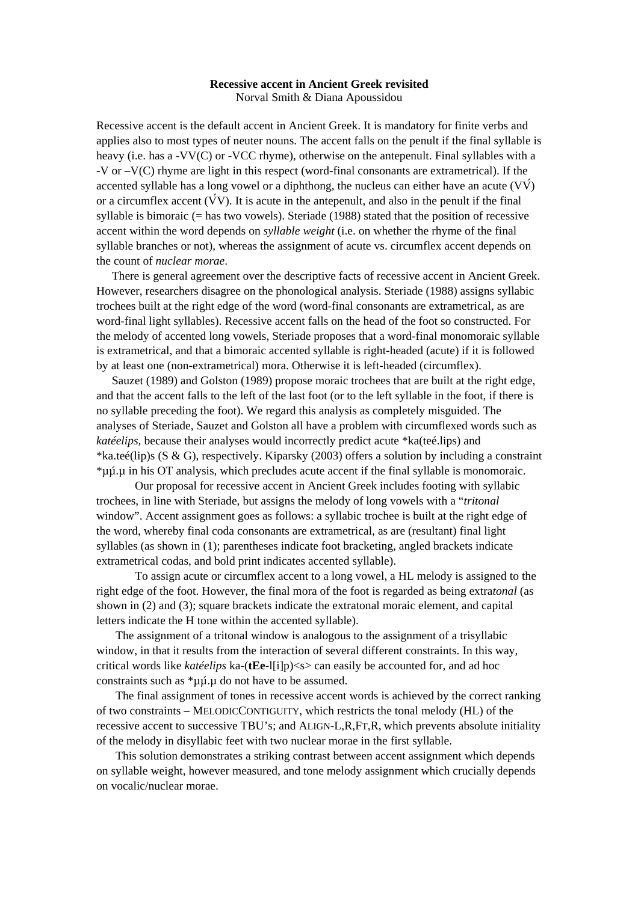## **Recessive accent in Ancient Greek revisited**  Norval Smith & Diana Apoussidou

Recessive accent is the default accent in Ancient Greek. It is mandatory for finite verbs and applies also to most types of neuter nouns. The accent falls on the penult if the final syllable is heavy (i.e. has a -VV(C) or -VCC rhyme), otherwise on the antepenult. Final syllables with a -V or –V(C) rhyme are light in this respect (word-final consonants are extrametrical). If the accented syllable has a long vowel or a diphthong, the nucleus can either have an acute  $(VV)$ or a circumflex accent  $(\check{V}V)$ . It is acute in the antepenult, and also in the penult if the final syllable is bimoraic (= has two vowels). Steriade (1988) stated that the position of recessive accent within the word depends on *syllable weight* (i.e. on whether the rhyme of the final syllable branches or not), whereas the assignment of acute vs. circumflex accent depends on the count of *nuclear morae*.

 There is general agreement over the descriptive facts of recessive accent in Ancient Greek. However, researchers disagree on the phonological analysis. Steriade (1988) assigns syllabic trochees built at the right edge of the word (word-final consonants are extrametrical, as are word-final light syllables). Recessive accent falls on the head of the foot so constructed. For the melody of accented long vowels, Steriade proposes that a word-final monomoraic syllable is extrametrical, and that a bimoraic accented syllable is right-headed (acute) if it is followed by at least one (non-extrametrical) mora. Otherwise it is left-headed (circumflex).

 Sauzet (1989) and Golston (1989) propose moraic trochees that are built at the right edge, and that the accent falls to the left of the last foot (or to the left syllable in the foot, if there is no syllable preceding the foot). We regard this analysis as completely misguided. The analyses of Steriade, Sauzet and Golston all have a problem with circumflexed words such as *katéelips*, because their analyses would incorrectly predict acute \*ka(teé.lips) and \*ka.teé(lip)s (S & G), respectively. Kiparsky (2003) offers a solution by including a constraint \*µµ.µ in his OT analysis, which precludes acute accent if the final syllable is monomoraic.

 Our proposal for recessive accent in Ancient Greek includes footing with syllabic trochees, in line with Steriade, but assigns the melody of long vowels with a "*tritonal*  window". Accent assignment goes as follows: a syllabic trochee is built at the right edge of the word, whereby final coda consonants are extrametrical, as are (resultant) final light syllables (as shown in [\(1\);](#page-1-0) parentheses indicate foot bracketing, angled brackets indicate extrametrical codas, and bold print indicates accented syllable).

To assign acute or circumflex accent to a long vowel, a HL melody is assigned to the right edge of the foot. However, the final mora of the foot is regarded as being extra*tonal* (as shown in [\(2\)](#page-1-1) and (3); square brackets indicate the extratonal moraic element, and capital letters indicate the H tone within the accented syllable).

The assignment of a tritonal window is analogous to the assignment of a trisyllabic window, in that it results from the interaction of several different constraints. In this way, critical words like *katéelips* ka-(**tEe**-l[i]p)<s> can easily be accounted for, and ad hoc constraints such as  $*\mu\mu.\mu$  do not have to be assumed.

The final assignment of tones in recessive accent words is achieved by the correct ranking of two constraints – MELODICCONTIGUITY, which restricts the tonal melody (HL) of the recessive accent to successive TBU's; and ALIGN-L,R,FT,R, which prevents absolute initiality of the melody in disyllabic feet with two nuclear morae in the first syllable.

This solution demonstrates a striking contrast between accent assignment which depends on syllable weight, however measured, and tone melody assignment which crucially depends on vocalic/nuclear morae.